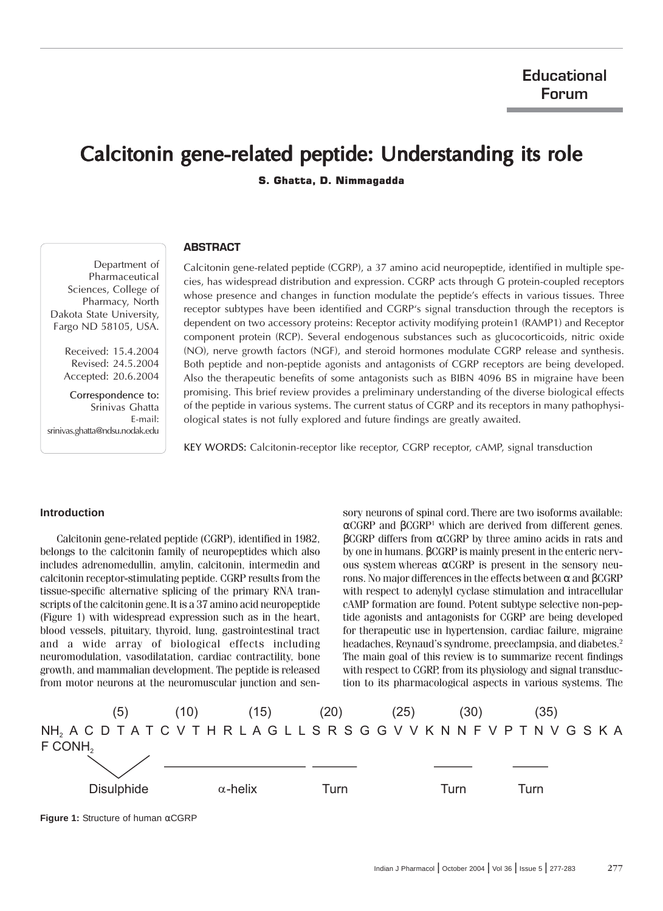# Calcitonin gene-related peptide: Understanding its role

S. Ghatta, D. Nimmagadda

# **ABSTRACT**

Department of Pharmaceutical Sciences, College of Pharmacy, North Dakota State University, Fargo ND 58105, USA.

> Received: 15.4.2004 Revised: 24.5.2004 Accepted: 20.6.2004

Correspondence to: Srinivas Ghatta E-mail: srinivas.ghatta@ndsu.nodak.edu

Calcitonin gene-related peptide (CGRP), a 37 amino acid neuropeptide, identified in multiple species, has widespread distribution and expression. CGRP acts through G protein-coupled receptors whose presence and changes in function modulate the peptide's effects in various tissues. Three receptor subtypes have been identified and CGRP's signal transduction through the receptors is dependent on two accessory proteins: Receptor activity modifying protein1 (RAMP1) and Receptor component protein (RCP). Several endogenous substances such as glucocorticoids, nitric oxide (NO), nerve growth factors (NGF), and steroid hormones modulate CGRP release and synthesis. Both peptide and non-peptide agonists and antagonists of CGRP receptors are being developed. Also the therapeutic benefits of some antagonists such as BIBN 4096 BS in migraine have been promising. This brief review provides a preliminary understanding of the diverse biological effects of the peptide in various systems. The current status of CGRP and its receptors in many pathophysiological states is not fully explored and future findings are greatly awaited.

KEY WORDS: Calcitonin-receptor like receptor, CGRP receptor, cAMP, signal transduction

## **Introduction**

Calcitonin gene-related peptide (CGRP), identified in 1982, belongs to the calcitonin family of neuropeptides which also includes adrenomedullin, amylin, calcitonin, intermedin and calcitonin receptor-stimulating peptide. CGRP results from the tissue-specific alternative splicing of the primary RNA transcripts of the calcitonin gene.It is a 37 amino acid neuropeptide (Figure 1) with widespread expression such as in the heart, blood vessels, pituitary, thyroid, lung, gastrointestinal tract and a wide array of biological effects including neuromodulation, vasodilatation, cardiac contractility, bone growth, and mammalian development. The peptide is released from motor neurons at the neuromuscular junction and sensory neurons of spinal cord. There are two isoforms available: αCGRP and βCGRP<sup>1</sup> which are derived from different genes. βCGRP differs from αCGRP by three amino acids in rats and by one in humans. βCGRP is mainly present in the enteric nervous system whereas αCGRP is present in the sensory neurons. No major differences in the effects between α and βCGRP with respect to adenylyl cyclase stimulation and intracellular cAMP formation are found. Potent subtype selective non-peptide agonists and antagonists for CGRP are being developed for therapeutic use in hypertension, cardiac failure, migraine headaches, Reynaud's syndrome, preeclampsia, and diabetes.<sup>2</sup> The main goal of this review is to summarize recent findings with respect to CGRP, from its physiology and signal transduction to its pharmacological aspects in various systems. The



**Figure 1:** Structure of human αCGRP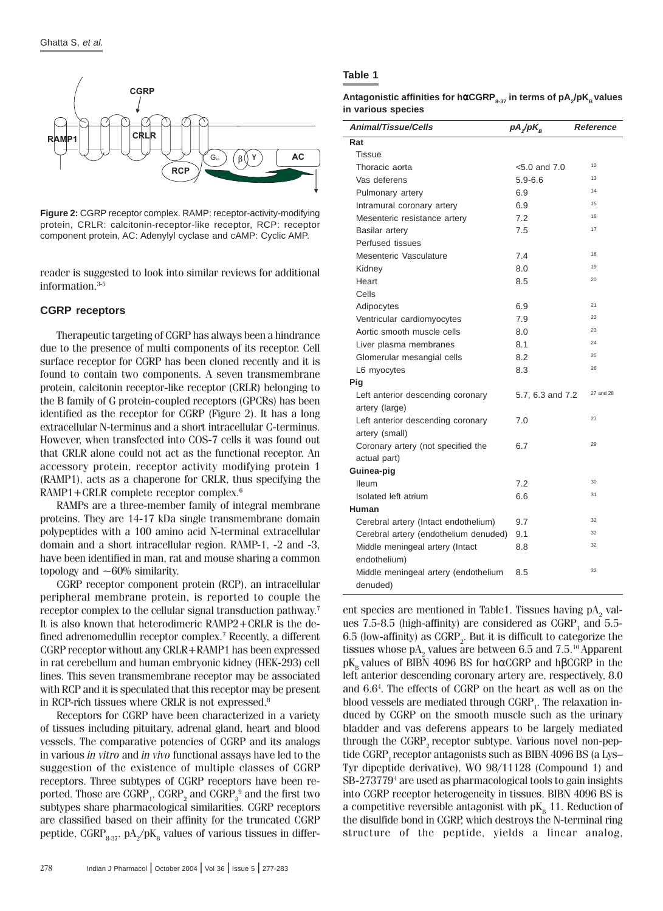

**Figure 2:** CGRP receptor complex. RAMP: receptor-activity-modifying protein, CRLR: calcitonin-receptor-like receptor, RCP: receptor component protein, AC: Adenylyl cyclase and cAMP: Cyclic AMP.

reader is suggested to look into similar reviews for additional information.3-5

## **CGRP receptors**

Therapeutic targeting of CGRP has always been a hindrance due to the presence of multi components of its receptor. Cell surface receptor for CGRP has been cloned recently and it is found to contain two components. A seven transmembrane protein, calcitonin receptor-like receptor (CRLR) belonging to the B family of G protein-coupled receptors (GPCRs) has been identified as the receptor for CGRP (Figure 2). It has a long extracellular N-terminus and a short intracellular C-terminus. However, when transfected into COS-7 cells it was found out that CRLR alone could not act as the functional receptor. An accessory protein, receptor activity modifying protein 1 (RAMP1), acts as a chaperone for CRLR, thus specifying the RAMP1+CRLR complete receptor complex.<sup>6</sup>

RAMPs are a three-member family of integral membrane proteins. They are 14-17 kDa single transmembrane domain polypeptides with a 100 amino acid N-terminal extracellular domain and a short intracellular region. RAMP-1, -2 and -3, have been identified in man, rat and mouse sharing a common topology and  $~1$ 60% similarity.

CGRP receptor component protein (RCP), an intracellular peripheral membrane protein, is reported to couple the receptor complex to the cellular signal transduction pathway.<sup>7</sup> It is also known that heterodimeric RAMP2+CRLR is the defined adrenomedullin receptor complex.<sup>7</sup> Recently, a different CGRP receptor without any CRLR+RAMP1 has been expressed in rat cerebellum and human embryonic kidney (HEK-293) cell lines. This seven transmembrane receptor may be associated with RCP and it is speculated that this receptor may be present in RCP-rich tissues where CRLR is not expressed.<sup>8</sup>

Receptors for CGRP have been characterized in a variety of tissues including pituitary, adrenal gland, heart and blood vessels. The comparative potencies of CGRP and its analogs in various in vitro and in vivo functional assays have led to the suggestion of the existence of multiple classes of CGRP receptors. Three subtypes of CGRP receptors have been reported. Those are  $\mathrm{GRP}_1^{},$   $\mathrm{GRP}_2^{}$  and  $\mathrm{GRP}_3^{}{}^9$  and the first two subtypes share pharmacological similarities. CGRP receptors are classified based on their affinity for the truncated CGRP peptide,  $\mathrm{GRP}_{8\text{-}37}$ . pA $_2$ /pK $_{\mathrm{B}}$  values of various tissues in differ-

**Antagonistic affinities for hαCGRP** $_{\text{s-37}}$  **in terms of pA** $_2$ **/pK** $_{\text{B}}$  **values in various species**

| <b>Animal/Tissue/Cells</b>                       | $pA/pK_{R}$       | Reference |
|--------------------------------------------------|-------------------|-----------|
| Rat                                              |                   |           |
| Tissue                                           |                   |           |
| Thoracic aorta                                   | $< 5.0$ and $7.0$ | 12        |
| Vas deferens                                     | $5.9 - 6.6$       | 13        |
| Pulmonary artery                                 | 6.9               | 14        |
| Intramural coronary artery                       | 6.9               | 15        |
| Mesenteric resistance artery                     | 7.2               | 16        |
| <b>Basilar artery</b>                            | 7.5               | 17        |
| Perfused tissues                                 |                   |           |
| Mesenteric Vasculature                           | 7.4               | 18        |
| Kidney                                           | 8.0               | 19        |
| Heart                                            | 8.5               | 20        |
| Cells                                            |                   |           |
| Adipocytes                                       | 6.9               | 21        |
| Ventricular cardiomyocytes                       | 7.9               | 22        |
| Aortic smooth muscle cells                       | 8.0               | 23        |
| Liver plasma membranes                           | 8.1               | 24        |
| Glomerular mesangial cells                       | 8.2               | 25        |
| L6 myocytes                                      | 8.3               | 26        |
| Pig                                              |                   |           |
| Left anterior descending coronary                | 5.7, 6.3 and 7.2  | 27 and 28 |
| artery (large)                                   |                   |           |
| Left anterior descending coronary                | 7.0               | 27        |
| artery (small)                                   |                   |           |
| Coronary artery (not specified the               | 6.7               | 29        |
| actual part)                                     |                   |           |
| Guinea-pig                                       |                   |           |
| <b>Ileum</b>                                     | 7.2               | 30        |
| Isolated left atrium                             | 6.6               | 31        |
| Human                                            |                   |           |
| Cerebral artery (Intact endothelium)             | 9.7               | 32        |
| Cerebral artery (endothelium denuded)            | 9.1               | 32        |
| Middle meningeal artery (Intact                  | 8.8               | 32        |
| endothelium)                                     |                   |           |
| Middle meningeal artery (endothelium<br>denuded) | 8.5               | 32        |

ent species are mentioned in Table1. Tissues having  $\rm pA\rm_{2}$  values 7.5-8.5 (high-affinity) are considered as  $CGRP_1$  and 5.5-6.5 (low-affinity) as  $\mathrm{GRP}_2$ . But it is difficult to categorize the tissues whose  $pA_2$  values are between 6.5 and 7.5.<sup>10</sup> Apparent  $pK_B$  values of BIBN 4096 BS for hαCGRP and hβCGRP in the left anterior descending coronary artery are, respectively, 8.0 and 6.6<sup>4</sup> . The effects of CGRP on the heart as well as on the blood vessels are mediated through  $\mathrm{GRP}_1^{}$ . The relaxation induced by CGRP on the smooth muscle such as the urinary bladder and vas deferens appears to be largely mediated through the CGRP<sub>2</sub> receptor subtype. Various novel non-peptide CGRP, receptor antagonists such as BIBN 4096 BS (a Lys– Tyr dipeptide derivative), WO 98/11128 (Compound 1) and SB-273779<sup>4</sup> are used as pharmacological tools to gain insights into CGRP receptor heterogeneity in tissues. BIBN 4096 BS is a competitive reversible antagonist with  $pK_{\rm B}$  11. Reduction of the disulfide bond in CGRP, which destroys the N-terminal ring structure of the peptide, yields a linear analog,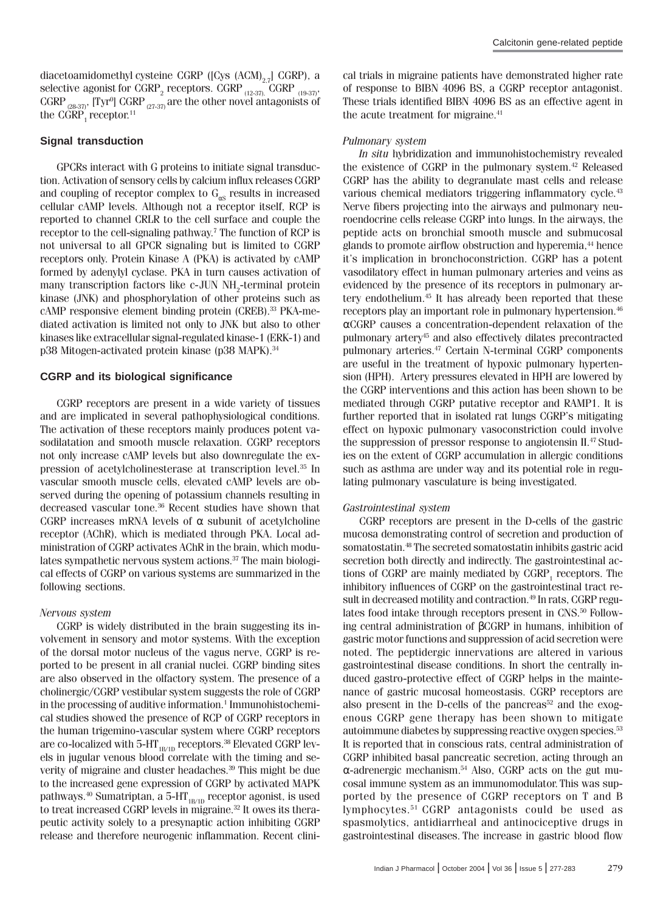diacetoamidomethyl cysteine CGRP ( $[Cys (ACM)_{27}]$  CGRP), a selective agonist for  $\mathrm{GRP}_2$  receptors.  $\mathrm{GRP}_{_{(12\text{--}37)}}$ ,  $\mathrm{GGRP}_{_{(19\text{--}37)}},$ CGRP  $_{\rm (28-37)}$ , [Tyr $^{\rm o}$ ] CGRP  $_{\rm (27-37)}$  are the other novel antagonists of the  $CGRP<sub>1</sub>$  receptor.<sup>11</sup>

## **Signal transduction**

GPCRs interact with G proteins to initiate signal transduction. Activation of sensory cells by calcium influx releases CGRP and coupling of receptor complex to  $G_{\alpha S}$  results in increased cellular cAMP levels. Although not a receptor itself, RCP is reported to channel CRLR to the cell surface and couple the receptor to the cell-signaling pathway.<sup>7</sup> The function of RCP is not universal to all GPCR signaling but is limited to CGRP receptors only. Protein Kinase A (PKA) is activated by cAMP formed by adenylyl cyclase. PKA in turn causes activation of many transcription factors like c-JUN  $NH_2$ -terminal protein kinase (JNK) and phosphorylation of other proteins such as cAMP responsive element binding protein (CREB).33 PKA-mediated activation is limited not only to JNK but also to other kinases like extracellular signal-regulated kinase-1 (ERK-1) and p38 Mitogen-activated protein kinase (p38 MAPK).<sup>34</sup>

## **CGRP and its biological significance**

CGRP receptors are present in a wide variety of tissues and are implicated in several pathophysiological conditions. The activation of these receptors mainly produces potent vasodilatation and smooth muscle relaxation. CGRP receptors not only increase cAMP levels but also downregulate the expression of acetylcholinesterase at transcription level.35 In vascular smooth muscle cells, elevated cAMP levels are observed during the opening of potassium channels resulting in decreased vascular tone.<sup>36</sup> Recent studies have shown that CGRP increases mRNA levels of  $\alpha$  subunit of acetylcholine receptor (AChR), which is mediated through PKA. Local administration of CGRP activates AChR in the brain, which modulates sympathetic nervous system actions.37 The main biological effects of CGRP on various systems are summarized in the following sections.

## Nervous system

CGRP is widely distributed in the brain suggesting its involvement in sensory and motor systems. With the exception of the dorsal motor nucleus of the vagus nerve, CGRP is reported to be present in all cranial nuclei. CGRP binding sites are also observed in the olfactory system. The presence of a cholinergic/CGRP vestibular system suggests the role of CGRP in the processing of auditive information.<sup>1</sup> Immunohistochemical studies showed the presence of RCP of CGRP receptors in the human trigemino-vascular system where CGRP receptors are co-localized with 5-HT<sub>1B/1D</sub> receptors.<sup>38</sup> Elevated CGRP levels in jugular venous blood correlate with the timing and severity of migraine and cluster headaches.<sup>39</sup> This might be due to the increased gene expression of CGRP by activated MAPK pathways. $40$  Sumatriptan, a 5-HT<sub>1B/1D</sub> receptor agonist, is used to treat increased CGRP levels in migraine.<sup>32</sup> It owes its therapeutic activity solely to a presynaptic action inhibiting CGRP release and therefore neurogenic inflammation. Recent clinical trials in migraine patients have demonstrated higher rate of response to BIBN 4096 BS, a CGRP receptor antagonist. These trials identified BIBN 4096 BS as an effective agent in the acute treatment for migraine.<sup>41</sup>

#### Pulmonary system

In situ hybridization and immunohistochemistry revealed the existence of CGRP in the pulmonary system.42 Released CGRP has the ability to degranulate mast cells and release various chemical mediators triggering inflammatory cycle.<sup>43</sup> Nerve fibers projecting into the airways and pulmonary neuroendocrine cells release CGRP into lungs. In the airways, the peptide acts on bronchial smooth muscle and submucosal glands to promote airflow obstruction and hyperemia,<sup>44</sup> hence it's implication in bronchoconstriction. CGRP has a potent vasodilatory effect in human pulmonary arteries and veins as evidenced by the presence of its receptors in pulmonary artery endothelium.45 It has already been reported that these receptors play an important role in pulmonary hypertension.<sup>46</sup> αCGRP causes a concentration-dependent relaxation of the pulmonary artery45 and also effectively dilates precontracted pulmonary arteries.<sup>47</sup> Certain N-terminal CGRP components are useful in the treatment of hypoxic pulmonary hypertension (HPH). Artery pressures elevated in HPH are lowered by the CGRP interventions and this action has been shown to be mediated through CGRP putative receptor and RAMP1. It is further reported that in isolated rat lungs CGRP's mitigating effect on hypoxic pulmonary vasoconstriction could involve the suppression of pressor response to angiotensin II.<sup>47</sup> Studies on the extent of CGRP accumulation in allergic conditions such as asthma are under way and its potential role in regulating pulmonary vasculature is being investigated.

#### Gastrointestinal system

CGRP receptors are present in the D-cells of the gastric mucosa demonstrating control of secretion and production of somatostatin.48 The secreted somatostatin inhibits gastric acid secretion both directly and indirectly. The gastrointestinal actions of CGRP are mainly mediated by  $\mathrm{CGRP}_1$  receptors. The inhibitory influences of CGRP on the gastrointestinal tract result in decreased motility and contraction.<sup>49</sup> In rats, CGRP regulates food intake through receptors present in CNS.<sup>50</sup> Following central administration of βCGRP in humans, inhibition of gastric motor functions and suppression of acid secretion were noted. The peptidergic innervations are altered in various gastrointestinal disease conditions. In short the centrally induced gastro-protective effect of CGRP helps in the maintenance of gastric mucosal homeostasis. CGRP receptors are also present in the D-cells of the pancreas<sup>52</sup> and the exogenous CGRP gene therapy has been shown to mitigate autoimmune diabetes by suppressing reactive oxygen species.<sup>53</sup> It is reported that in conscious rats, central administration of CGRP inhibited basal pancreatic secretion, acting through an α-adrenergic mechanism.54 Also, CGRP acts on the gut mucosal immune system as an immunomodulator. This was supported by the presence of CGRP receptors on T and B lymphocytes.51 CGRP antagonists could be used as spasmolytics, antidiarrheal and antinociceptive drugs in gastrointestinal diseases. The increase in gastric blood flow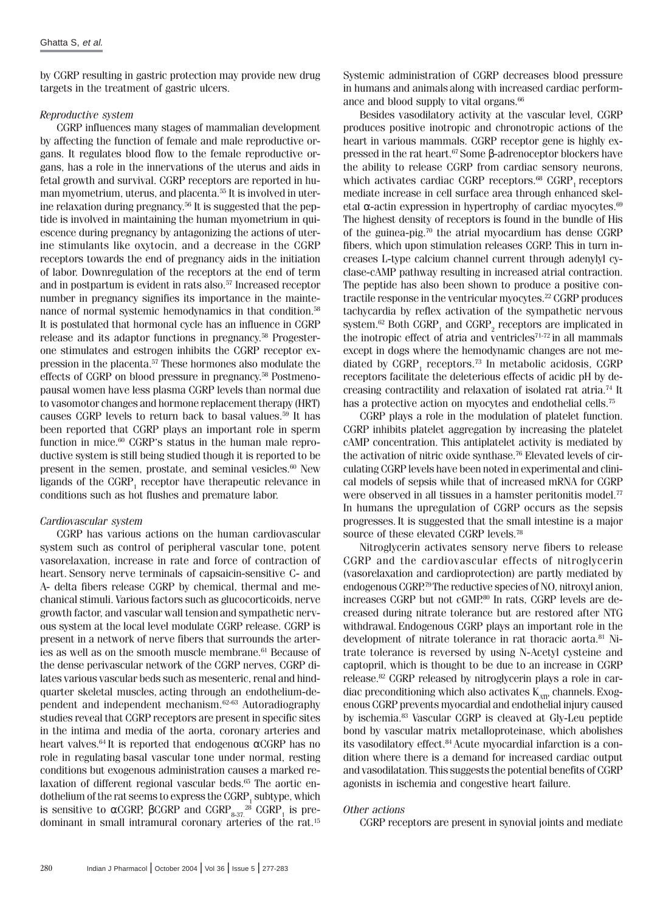by CGRP resulting in gastric protection may provide new drug targets in the treatment of gastric ulcers.

### Reproductive system

CGRP influences many stages of mammalian development by affecting the function of female and male reproductive organs. It regulates blood flow to the female reproductive organs, has a role in the innervations of the uterus and aids in fetal growth and survival. CGRP receptors are reported in human myometrium, uterus, and placenta.55 It is involved in uterine relaxation during pregnancy.56 It is suggested that the peptide is involved in maintaining the human myometrium in quiescence during pregnancy by antagonizing the actions of uterine stimulants like oxytocin, and a decrease in the CGRP receptors towards the end of pregnancy aids in the initiation of labor. Downregulation of the receptors at the end of term and in postpartum is evident in rats also.<sup>57</sup> Increased receptor number in pregnancy signifies its importance in the maintenance of normal systemic hemodynamics in that condition.<sup>58</sup> It is postulated that hormonal cycle has an influence in CGRP release and its adaptor functions in pregnancy.58 Progesterone stimulates and estrogen inhibits the CGRP receptor expression in the placenta.57 These hormones also modulate the effects of CGRP on blood pressure in pregnancy.58 Postmenopausal women have less plasma CGRP levels than normal due to vasomotor changes and hormone replacement therapy (HRT) causes CGRP levels to return back to basal values.59 It has been reported that CGRP plays an important role in sperm function in mice.<sup>60</sup> CGRP's status in the human male reproductive system is still being studied though it is reported to be present in the semen, prostate, and seminal vesicles.<sup>60</sup> New ligands of the  $C\mathrm{GRP}_1$  receptor have the<br>rapeutic relevance in conditions such as hot flushes and premature labor.

## Cardiovascular system

CGRP has various actions on the human cardiovascular system such as control of peripheral vascular tone, potent vasorelaxation, increase in rate and force of contraction of heart. Sensory nerve terminals of capsaicin-sensitive C- and A- delta fibers release CGRP by chemical, thermal and mechanical stimuli. Various factors such as glucocorticoids, nerve growth factor, and vascular wall tension and sympathetic nervous system at the local level modulate CGRP release. CGRP is present in a network of nerve fibers that surrounds the arteries as well as on the smooth muscle membrane.<sup>61</sup> Because of the dense perivascular network of the CGRP nerves, CGRP dilates various vascular beds such as mesenteric, renal and hindquarter skeletal muscles, acting through an endothelium-dependent and independent mechanism.62-63 Autoradiography studies reveal that CGRP receptors are present in specific sites in the intima and media of the aorta, coronary arteries and heart valves.<sup>64</sup> It is reported that endogenous  $\alpha$ CGRP has no role in regulating basal vascular tone under normal, resting conditions but exogenous administration causes a marked relaxation of different regional vascular beds.<sup>65</sup> The aortic endothelium of the rat seems to express the  $\mathrm{GRP}_1^{}$  subtype, which is sensitive to αCGRP, βCGRP and  $G$ GRP $_{\rm 8.37.}^{\rm 28}$  CGRP $_{\rm 1}$  is predominant in small intramural coronary arteries of the rat.<sup>15</sup>

Systemic administration of CGRP decreases blood pressure in humans and animals along with increased cardiac performance and blood supply to vital organs.<sup>66</sup>

Besides vasodilatory activity at the vascular level, CGRP produces positive inotropic and chronotropic actions of the heart in various mammals. CGRP receptor gene is highly expressed in the rat heart.67 Some β-adrenoceptor blockers have the ability to release CGRP from cardiac sensory neurons, which activates cardiac CGRP receptors. $^{68}$  CGRP<sub>1</sub> receptors mediate increase in cell surface area through enhanced skeletal  $\alpha$ -actin expression in hypertrophy of cardiac myocytes.<sup>69</sup> The highest density of receptors is found in the bundle of His of the guinea-pig.70 the atrial myocardium has dense CGRP fibers, which upon stimulation releases CGRP. This in turn increases L-type calcium channel current through adenylyl cyclase-cAMP pathway resulting in increased atrial contraction. The peptide has also been shown to produce a positive contractile response in the ventricular myocytes.<sup>22</sup> CGRP produces tachycardia by reflex activation of the sympathetic nervous system. $^{62}$  Both CGRP<sub>1</sub> and CGRP<sub>2</sub> receptors are implicated in the inotropic effect of atria and ventricles $71-72$  in all mammals except in dogs where the hemodynamic changes are not mediated by  $\mathrm{GGRP}_{1}$  receptors.<sup>73</sup> In metabolic acidosis, CGRP receptors facilitate the deleterious effects of acidic pH by decreasing contractility and relaxation of isolated rat atria.74 It has a protective action on myocytes and endothelial cells.<sup>75</sup>

CGRP plays a role in the modulation of platelet function. CGRP inhibits platelet aggregation by increasing the platelet cAMP concentration. This antiplatelet activity is mediated by the activation of nitric oxide synthase.76 Elevated levels of circulating CGRP levels have been noted in experimental and clinical models of sepsis while that of increased mRNA for CGRP were observed in all tissues in a hamster peritonitis model.<sup>77</sup> In humans the upregulation of CGRP occurs as the sepsis progresses. It is suggested that the small intestine is a major source of these elevated CGRP levels.<sup>78</sup>

Nitroglycerin activates sensory nerve fibers to release CGRP and the cardiovascular effects of nitroglycerin (vasorelaxation and cardioprotection) are partly mediated by endogenous CGRP.79 The reductive species of NO, nitroxyl anion, increases CGRP but not cGMP.80 In rats, CGRP levels are decreased during nitrate tolerance but are restored after NTG withdrawal. Endogenous CGRP plays an important role in the development of nitrate tolerance in rat thoracic aorta.<sup>81</sup> Nitrate tolerance is reversed by using N-Acetyl cysteine and captopril, which is thought to be due to an increase in CGRP release.82 CGRP released by nitroglycerin plays a role in cardiac preconditioning which also activates  $K_{\text{app}}$  channels. Exogenous CGRP prevents myocardial and endothelial injury caused by ischemia.83 Vascular CGRP is cleaved at Gly-Leu peptide bond by vascular matrix metalloproteinase, which abolishes its vasodilatory effect.<sup>84</sup> Acute myocardial infarction is a condition where there is a demand for increased cardiac output and vasodilatation. This suggests the potential benefits of CGRP agonists in ischemia and congestive heart failure.

#### Other actions

CGRP receptors are present in synovial joints and mediate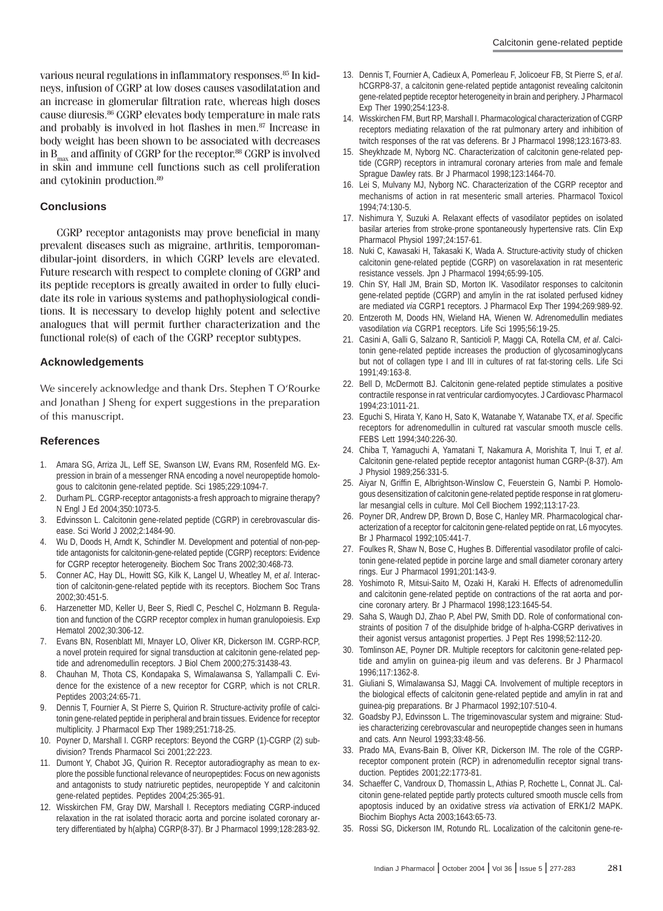various neural regulations in inflammatory responses.<sup>85</sup> In kidneys, infusion of CGRP at low doses causes vasodilatation and an increase in glomerular filtration rate, whereas high doses cause diuresis.86 CGRP elevates body temperature in male rats and probably is involved in hot flashes in men.<sup>87</sup> Increase in body weight has been shown to be associated with decreases in  $B_{\text{max}}$  and affinity of CGRP for the receptor.<sup>88</sup> CGRP is involved in skin and immune cell functions such as cell proliferation and cytokinin production.<sup>89</sup>

## **Conclusions**

CGRP receptor antagonists may prove beneficial in many prevalent diseases such as migraine, arthritis, temporomandibular-joint disorders, in which CGRP levels are elevated. Future research with respect to complete cloning of CGRP and its peptide receptors is greatly awaited in order to fully elucidate its role in various systems and pathophysiological conditions. It is necessary to develop highly potent and selective analogues that will permit further characterization and the functional role(s) of each of the CGRP receptor subtypes.

## **Acknowledgements**

We sincerely acknowledge and thank Drs. Stephen T O'Rourke and Jonathan J Sheng for expert suggestions in the preparation of this manuscript.

#### **References**

- 1. Amara SG, Arriza JL, Leff SE, Swanson LW, Evans RM, Rosenfeld MG. Expression in brain of a messenger RNA encoding a novel neuropeptide homologous to calcitonin gene-related peptide. Sci 1985;229:1094-7.
- 2. Durham PL. CGRP-receptor antagonists-a fresh approach to migraine therapy? N Engl J Ed 2004;350:1073-5.
- 3. Edvinsson L. Calcitonin gene-related peptide (CGRP) in cerebrovascular disease. Sci World J 2002;2:1484-90.
- 4. Wu D, Doods H, Arndt K, Schindler M. Development and potential of non-peptide antagonists for calcitonin-gene-related peptide (CGRP) receptors: Evidence for CGRP receptor heterogeneity. Biochem Soc Trans 2002;30:468-73.
- 5. Conner AC, Hay DL, Howitt SG, Kilk K, Langel U, Wheatley M, *et al*. Interaction of calcitonin-gene-related peptide with its receptors. Biochem Soc Trans 2002;30:451-5.
- 6. Harzenetter MD, Keller U, Beer S, Riedl C, Peschel C, Holzmann B. Regulation and function of the CGRP receptor complex in human granulopoiesis. Exp Hematol 2002;30:306-12.
- 7. Evans BN, Rosenblatt MI, Mnayer LO, Oliver KR, Dickerson IM. CGRP-RCP, a novel protein required for signal transduction at calcitonin gene-related peptide and adrenomedullin receptors. J Biol Chem 2000;275:31438-43.
- 8. Chauhan M, Thota CS, Kondapaka S, Wimalawansa S, Yallampalli C. Evidence for the existence of a new receptor for CGRP, which is not CRLR. Peptides 2003;24:65-71.
- Dennis T, Fournier A, St Pierre S, Quirion R. Structure-activity profile of calcitonin gene-related peptide in peripheral and brain tissues. Evidence for receptor multiplicity. J Pharmacol Exp Ther 1989;251:718-25.
- 10. Poyner D, Marshall I. CGRP receptors: Beyond the CGRP (1)-CGRP (2) subdivision? Trends Pharmacol Sci 2001;22:223.
- 11. Dumont Y, Chabot JG, Quirion R. Receptor autoradiography as mean to explore the possible functional relevance of neuropeptides: Focus on new agonists and antagonists to study natriuretic peptides, neuropeptide Y and calcitonin gene-related peptides. Peptides 2004;25:365-91.
- 12. Wisskirchen FM, Gray DW, Marshall I. Receptors mediating CGRP-induced relaxation in the rat isolated thoracic aorta and porcine isolated coronary artery differentiated by h(alpha) CGRP(8-37). Br J Pharmacol 1999;128:283-92.
- 13. Dennis T, Fournier A, Cadieux A, Pomerleau F, Jolicoeur FB, St Pierre S, *et al*. hCGRP8-37, a calcitonin gene-related peptide antagonist revealing calcitonin gene-related peptide receptor heterogeneity in brain and periphery. J Pharmacol Exp Ther 1990;254:123-8.
- 14. Wisskirchen FM, Burt RP, Marshall I. Pharmacological characterization of CGRP receptors mediating relaxation of the rat pulmonary artery and inhibition of twitch responses of the rat vas deferens. Br J Pharmacol 1998;123:1673-83.
- 15. Sheykhzade M, Nyborg NC. Characterization of calcitonin gene-related peptide (CGRP) receptors in intramural coronary arteries from male and female Sprague Dawley rats. Br J Pharmacol 1998;123:1464-70.
- 16. Lei S, Mulvany MJ, Nyborg NC. Characterization of the CGRP receptor and mechanisms of action in rat mesenteric small arteries. Pharmacol Toxicol 1994;74:130-5.
- 17. Nishimura Y, Suzuki A. Relaxant effects of vasodilator peptides on isolated basilar arteries from stroke-prone spontaneously hypertensive rats. Clin Exp Pharmacol Physiol 1997;24:157-61.
- 18. Nuki C, Kawasaki H, Takasaki K, Wada A. Structure-activity study of chicken calcitonin gene-related peptide (CGRP) on vasorelaxation in rat mesenteric resistance vessels. Jpn J Pharmacol 1994;65:99-105.
- 19. Chin SY, Hall JM, Brain SD, Morton IK. Vasodilator responses to calcitonin gene-related peptide (CGRP) and amylin in the rat isolated perfused kidney are mediated *via* CGRP1 receptors. J Pharmacol Exp Ther 1994;269:989-92.
- 20. Entzeroth M, Doods HN, Wieland HA, Wienen W. Adrenomedullin mediates vasodilation *via* CGRP1 receptors. Life Sci 1995;56:19-25.
- 21. Casini A, Galli G, Salzano R, Santicioli P, Maggi CA, Rotella CM, *et al*. Calcitonin gene-related peptide increases the production of glycosaminoglycans but not of collagen type I and III in cultures of rat fat-storing cells. Life Sci 1991;49:163-8.
- 22. Bell D, McDermott BJ. Calcitonin gene-related peptide stimulates a positive contractile response in rat ventricular cardiomyocytes. J Cardiovasc Pharmacol 1994;23:1011-21.
- 23. Eguchi S, Hirata Y, Kano H, Sato K, Watanabe Y, Watanabe TX, *et al*. Specific receptors for adrenomedullin in cultured rat vascular smooth muscle cells. FEBS Lett 1994;340:226-30.
- 24. Chiba T, Yamaguchi A, Yamatani T, Nakamura A, Morishita T, Inui T, *et al*. Calcitonin gene-related peptide receptor antagonist human CGRP-(8-37). Am J Physiol 1989;256:331-5.
- 25. Aiyar N, Griffin E, Albrightson-Winslow C, Feuerstein G, Nambi P. Homologous desensitization of calcitonin gene-related peptide response in rat glomerular mesangial cells in culture. Mol Cell Biochem 1992;113:17-23.
- 26. Poyner DR, Andrew DP, Brown D, Bose C, Hanley MR. Pharmacological characterization of a receptor for calcitonin gene-related peptide on rat, L6 myocytes. Br J Pharmacol 1992;105:441-7.
- 27. Foulkes R, Shaw N, Bose C, Hughes B. Differential vasodilator profile of calcitonin gene-related peptide in porcine large and small diameter coronary artery rings. Eur J Pharmacol 1991;201:143-9.
- Yoshimoto R, Mitsui-Saito M, Ozaki H, Karaki H. Effects of adrenomedullin and calcitonin gene-related peptide on contractions of the rat aorta and porcine coronary artery. Br J Pharmacol 1998;123:1645-54.
- 29. Saha S, Waugh DJ, Zhao P, Abel PW, Smith DD. Role of conformational constraints of position 7 of the disulphide bridge of h-alpha-CGRP derivatives in their agonist versus antagonist properties. J Pept Res 1998;52:112-20.
- 30. Tomlinson AE, Poyner DR. Multiple receptors for calcitonin gene-related peptide and amylin on guinea-pig ileum and vas deferens. Br J Pharmacol 1996;117:1362-8.
- 31. Giuliani S, Wimalawansa SJ, Maggi CA. Involvement of multiple receptors in the biological effects of calcitonin gene-related peptide and amylin in rat and guinea-pig preparations. Br J Pharmacol 1992;107:510-4.
- 32. Goadsby PJ, Edvinsson L. The trigeminovascular system and migraine: Studies characterizing cerebrovascular and neuropeptide changes seen in humans and cats. Ann Neurol 1993;33:48-56.
- 33. Prado MA, Evans-Bain B, Oliver KR, Dickerson IM. The role of the CGRPreceptor component protein (RCP) in adrenomedullin receptor signal transduction. Peptides 2001;22:1773-81.
- 34. Schaeffer C, Vandroux D, Thomassin L, Athias P, Rochette L, Connat JL. Calcitonin gene-related peptide partly protects cultured smooth muscle cells from apoptosis induced by an oxidative stress *via* activation of ERK1/2 MAPK. Biochim Biophys Acta 2003;1643:65-73.
- 35. Rossi SG, Dickerson IM, Rotundo RL. Localization of the calcitonin gene-re-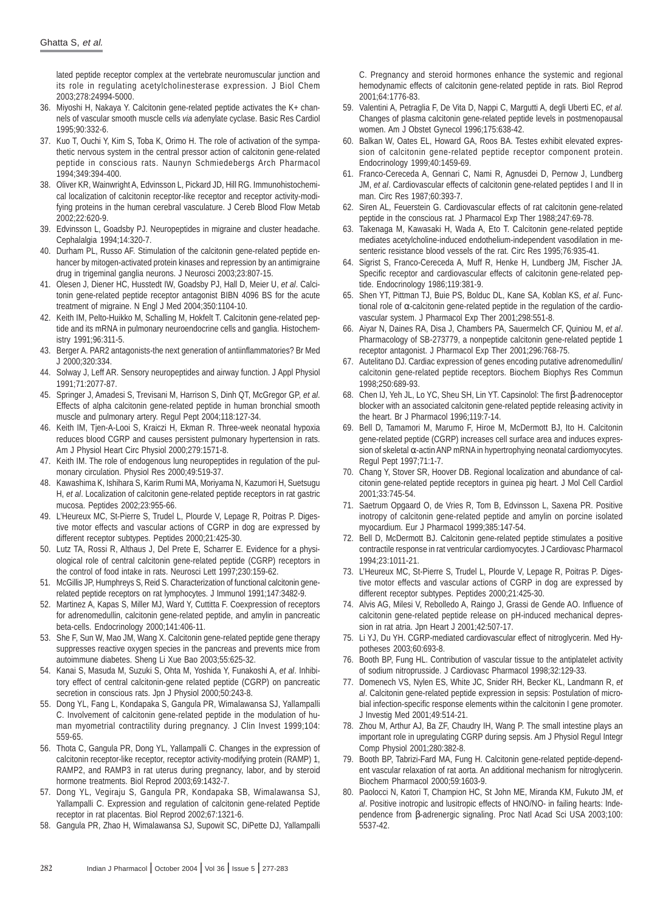lated peptide receptor complex at the vertebrate neuromuscular junction and its role in regulating acetylcholinesterase expression. J Biol Chem 2003;278:24994-5000.

- 36. Miyoshi H, Nakaya Y. Calcitonin gene-related peptide activates the K+ channels of vascular smooth muscle cells *via* adenylate cyclase. Basic Res Cardiol 1995;90:332-6.
- 37. Kuo T, Ouchi Y, Kim S, Toba K, Orimo H. The role of activation of the sympathetic nervous system in the central pressor action of calcitonin gene-related peptide in conscious rats. Naunyn Schmiedebergs Arch Pharmacol 1994;349:394-400.
- 38. Oliver KR, Wainwright A, Edvinsson L, Pickard JD, Hill RG. Immunohistochemical localization of calcitonin receptor-like receptor and receptor activity-modifying proteins in the human cerebral vasculature. J Cereb Blood Flow Metab 2002;22:620-9.
- 39. Edvinsson L, Goadsby PJ. Neuropeptides in migraine and cluster headache. Cephalalgia 1994;14:320-7.
- 40. Durham PL, Russo AF. Stimulation of the calcitonin gene-related peptide enhancer by mitogen-activated protein kinases and repression by an antimigraine drug in trigeminal ganglia neurons. J Neurosci 2003;23:807-15.
- 41. Olesen J, Diener HC, Husstedt IW, Goadsby PJ, Hall D, Meier U, *et al*. Calcitonin gene-related peptide receptor antagonist BIBN 4096 BS for the acute treatment of migraine. N Engl J Med 2004;350:1104-10.
- 42. Keith IM, Pelto-Huikko M, Schalling M, Hokfelt T. Calcitonin gene-related peptide and its mRNA in pulmonary neuroendocrine cells and ganglia. Histochemistry 1991;96:311-5.
- 43. Berger A. PAR2 antagonists-the next generation of antiinflammatories? Br Med J 2000;320:334.
- 44. Solway J, Leff AR. Sensory neuropeptides and airway function. J Appl Physiol 1991;71:2077-87.
- 45. Springer J, Amadesi S, Trevisani M, Harrison S, Dinh QT, McGregor GP, *et al*. Effects of alpha calcitonin gene-related peptide in human bronchial smooth muscle and pulmonary artery. Regul Pept 2004;118:127-34.
- 46. Keith IM, Tjen-A-Looi S, Kraiczi H, Ekman R. Three-week neonatal hypoxia reduces blood CGRP and causes persistent pulmonary hypertension in rats. Am J Physiol Heart Circ Physiol 2000;279:1571-8.
- 47. Keith IM. The role of endogenous lung neuropeptides in regulation of the pulmonary circulation. Physiol Res 2000;49:519-37.
- 48. Kawashima K, Ishihara S, Karim Rumi MA, Moriyama N, Kazumori H, Suetsugu H, *et al*. Localization of calcitonin gene-related peptide receptors in rat gastric mucosa. Peptides 2002;23:955-66.
- 49. L'Heureux MC, St-Pierre S, Trudel L, Plourde V, Lepage R, Poitras P. Digestive motor effects and vascular actions of CGRP in dog are expressed by different receptor subtypes. Peptides 2000;21:425-30.
- 50. Lutz TA, Rossi R, Althaus J, Del Prete E, Scharrer E. Evidence for a physiological role of central calcitonin gene-related peptide (CGRP) receptors in the control of food intake in rats. Neurosci Lett 1997;230:159-62.
- 51. McGillis JP, Humphreys S, Reid S. Characterization of functional calcitonin generelated peptide receptors on rat lymphocytes. J Immunol 1991;147:3482-9.
- 52. Martinez A, Kapas S, Miller MJ, Ward Y, Cuttitta F. Coexpression of receptors for adrenomedullin, calcitonin gene-related peptide, and amylin in pancreatic beta-cells. Endocrinology 2000;141:406-11.
- 53. She F, Sun W, Mao JM, Wang X. Calcitonin gene-related peptide gene therapy suppresses reactive oxygen species in the pancreas and prevents mice from autoimmune diabetes. Sheng Li Xue Bao 2003;55:625-32.
- 54. Kanai S, Masuda M, Suzuki S, Ohta M, Yoshida Y, Funakoshi A, *et al*. Inhibitory effect of central calcitonin-gene related peptide (CGRP) on pancreatic secretion in conscious rats. Jpn J Physiol 2000;50:243-8.
- 55. Dong YL, Fang L, Kondapaka S, Gangula PR, Wimalawansa SJ, Yallampalli C. Involvement of calcitonin gene-related peptide in the modulation of human myometrial contractility during pregnancy. J Clin Invest 1999;104: 559-65.
- 56. Thota C, Gangula PR, Dong YL, Yallampalli C. Changes in the expression of calcitonin receptor-like receptor, receptor activity-modifying protein (RAMP) 1, RAMP2, and RAMP3 in rat uterus during pregnancy, labor, and by steroid hormone treatments. Biol Reprod 2003;69:1432-7.
- 57. Dong YL, Vegiraju S, Gangula PR, Kondapaka SB, Wimalawansa SJ, Yallampalli C. Expression and regulation of calcitonin gene-related Peptide receptor in rat placentas. Biol Reprod 2002;67:1321-6.
- 58. Gangula PR, Zhao H, Wimalawansa SJ, Supowit SC, DiPette DJ, Yallampalli

C. Pregnancy and steroid hormones enhance the systemic and regional hemodynamic effects of calcitonin gene-related peptide in rats. Biol Reprod 2001;64:1776-83.

- 59. Valentini A, Petraglia F, De Vita D, Nappi C, Margutti A, degli Uberti EC, *et al.* Changes of plasma calcitonin gene-related peptide levels in postmenopausal women. Am J Obstet Gynecol 1996;175:638-42.
- 60. Balkan W, Oates EL, Howard GA, Roos BA. Testes exhibit elevated expression of calcitonin gene-related peptide receptor component protein. Endocrinology 1999;40:1459-69.
- 61. Franco-Cereceda A, Gennari C, Nami R, Agnusdei D, Pernow J, Lundberg JM, *et al*. Cardiovascular effects of calcitonin gene-related peptides I and II in man. Circ Res 1987;60:393-7.
- 62. Siren AL, Feuerstein G. Cardiovascular effects of rat calcitonin gene-related peptide in the conscious rat. J Pharmacol Exp Ther 1988;247:69-78.
- 63. Takenaga M, Kawasaki H, Wada A, Eto T. Calcitonin gene-related peptide mediates acetylcholine-induced endothelium-independent vasodilation in mesenteric resistance blood vessels of the rat. Circ Res 1995;76:935-41.
- 64. Sigrist S, Franco-Cereceda A, Muff R, Henke H, Lundberg JM, Fischer JA. Specific receptor and cardiovascular effects of calcitonin gene-related peptide. Endocrinology 1986;119:381-9.
- 65. Shen YT, Pittman TJ, Buie PS, Bolduc DL, Kane SA, Koblan KS, *et al*. Functional role of  $α$ -calcitonin gene-related peptide in the regulation of the cardiovascular system. J Pharmacol Exp Ther 2001;298:551-8.
- 66. Aiyar N, Daines RA, Disa J, Chambers PA, Sauermelch CF, Quiniou M, *et al*. Pharmacology of SB-273779, a nonpeptide calcitonin gene-related peptide 1 receptor antagonist. J Pharmacol Exp Ther 2001;296:768-75.
- 67. Autelitano DJ. Cardiac expression of genes encoding putative adrenomedullin/ calcitonin gene-related peptide receptors. Biochem Biophys Res Commun 1998;250:689-93.
- 68. Chen IJ, Yeh JL, Lo YC, Sheu SH, Lin YT. Capsinolol: The first β-adrenoceptor blocker with an associated calcitonin gene-related peptide releasing activity in the heart. Br J Pharmacol 1996;119:7-14.
- 69. Bell D, Tamamori M, Marumo F, Hiroe M, McDermott BJ, Ito H. Calcitonin gene-related peptide (CGRP) increases cell surface area and induces expression of skeletal α-actin ANP mRNA in hypertrophying neonatal cardiomyocytes. Regul Pept 1997;71:1-7.
- 70. Chang Y, Stover SR, Hoover DB. Regional localization and abundance of calcitonin gene-related peptide receptors in guinea pig heart. J Mol Cell Cardiol 2001;33:745-54.
- 71. Saetrum Opgaard O, de Vries R, Tom B, Edvinsson L, Saxena PR. Positive inotropy of calcitonin gene-related peptide and amylin on porcine isolated myocardium. Eur J Pharmacol 1999;385:147-54.
- 72. Bell D, McDermott BJ. Calcitonin gene-related peptide stimulates a positive contractile response in rat ventricular cardiomyocytes. J Cardiovasc Pharmacol 1994;23:1011-21.
- 73. L'Heureux MC, St-Pierre S, Trudel L, Plourde V, Lepage R, Poitras P. Digestive motor effects and vascular actions of CGRP in dog are expressed by different receptor subtypes. Peptides 2000;21:425-30.
- 74. Alvis AG, Milesi V, Rebolledo A, Raingo J, Grassi de Gende AO. Influence of calcitonin gene-related peptide release on pH-induced mechanical depression in rat atria. Jpn Heart J 2001;42:507-17.
- 75. Li YJ, Du YH. CGRP-mediated cardiovascular effect of nitroglycerin. Med Hypotheses 2003;60:693-8.
- Booth BP, Fung HL. Contribution of vascular tissue to the antiplatelet activity of sodium nitroprusside. J Cardiovasc Pharmacol 1998;32:129-33.
- 77. Domenech VS, Nylen ES, White JC, Snider RH, Becker KL, Landmann R, *et al*. Calcitonin gene-related peptide expression in sepsis: Postulation of microbial infection-specific response elements within the calcitonin I gene promoter. J Investig Med 2001;49:514-21.
- 78. Zhou M, Arthur AJ, Ba ZF, Chaudry IH, Wang P. The small intestine plays an important role in upregulating CGRP during sepsis. Am J Physiol Regul Integr Comp Physiol 2001;280:382-8.
- 79. Booth BP, Tabrizi-Fard MA, Fung H. Calcitonin gene-related peptide-dependent vascular relaxation of rat aorta. An additional mechanism for nitroglycerin. Biochem Pharmacol 2000;59:1603-9.
- 80. Paolocci N, Katori T, Champion HC, St John ME, Miranda KM, Fukuto JM, *et al*. Positive inotropic and lusitropic effects of HNO/NO- in failing hearts: Independence from β-adrenergic signaling. Proc Natl Acad Sci USA 2003;100: 5537-42.